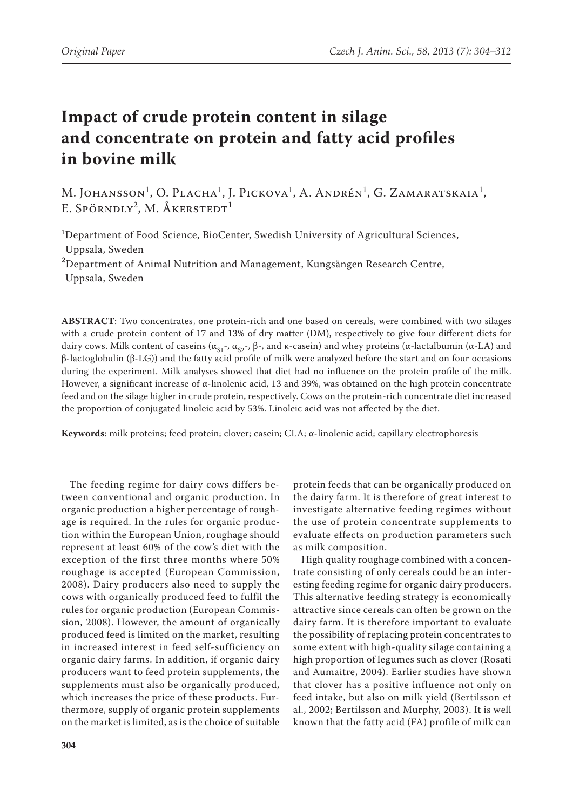# **Impact of crude protein content in silage and concentrate on protein and fatty acid profiles in bovine milk**

M. JOHANSSON<sup>1</sup>, O. Placha<sup>1</sup>, J. Pickova<sup>1</sup>, A. Andrén<sup>1</sup>, G. Zamaratskaia<sup>1</sup>, E. Spörndly<sup>2</sup>, M. Åkerstedt<sup>1</sup>

1 Department of Food Science, BioCenter, Swedish University of Agricultural Sciences, Uppsala, Sweden

**2** Department of Animal Nutrition and Management, Kungsängen Research Centre, Uppsala, Sweden

**ABSTRACT**: Two concentrates, one protein-rich and one based on cereals, were combined with two silages with a crude protein content of 17 and 13% of dry matter (DM), respectively to give four different diets for dairy cows. Milk content of caseins ( $\alpha_{S1}$ -,  $\alpha_{S2}$ -, β-, and κ-casein) and whey proteins (α-lactalbumin (α-LA) and β-lactoglobulin (β-LG)) and the fatty acid profile of milk were analyzed before the start and on four occasions during the experiment. Milk analyses showed that diet had no influence on the protein profile of the milk. However, a significant increase of α-linolenic acid, 13 and 39%, was obtained on the high protein concentrate feed and on the silage higher in crude protein, respectively. Cows on the protein-rich concentrate diet increased the proportion of conjugated linoleic acid by 53%. Linoleic acid was not affected by the diet.

**Keywords**: milk proteins; feed protein; clover; casein; CLA; α-linolenic acid; capillary electrophoresis

The feeding regime for dairy cows differs between conventional and organic production. In organic production a higher percentage of roughage is required. In the rules for organic production within the European Union, roughage should represent at least 60% of the cow's diet with the exception of the first three months where 50% roughage is accepted (European Commission, 2008). Dairy producers also need to supply the cows with organically produced feed to fulfil the rules for organic production (European Commission, 2008). However, the amount of organically produced feed is limited on the market, resulting in increased interest in feed self-sufficiency on organic dairy farms. In addition, if organic dairy producers want to feed protein supplements, the supplements must also be organically produced, which increases the price of these products. Furthermore, supply of organic protein supplements on the market is limited, as is the choice of suitable

protein feeds that can be organically produced on the dairy farm. It is therefore of great interest to investigate alternative feeding regimes without the use of protein concentrate supplements to evaluate effects on production parameters such as milk composition.

High quality roughage combined with a concentrate consisting of only cereals could be an interesting feeding regime for organic dairy producers. This alternative feeding strategy is economically attractive since cereals can often be grown on the dairy farm. It is therefore important to evaluate the possibility of replacing protein concentrates to some extent with high-quality silage containing a high proportion of legumes such as clover (Rosati and Aumaitre, 2004). Earlier studies have shown that clover has a positive influence not only on feed intake, but also on milk yield (Bertilsson et al., 2002; Bertilsson and Murphy, 2003). It is well known that the fatty acid (FA) profile of milk can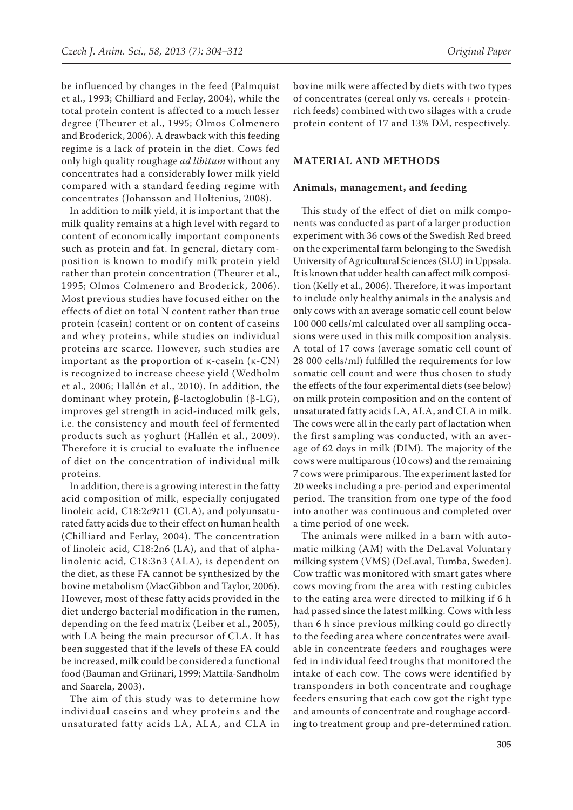be influenced by changes in the feed (Palmquist et al., 1993; Chilliard and Ferlay, 2004), while the total protein content is affected to a much lesser degree (Theurer et al., 1995; Olmos Colmenero and Broderick, 2006). A drawback with this feeding regime is a lack of protein in the diet. Cows fed only high quality roughage *ad libitum* without any concentrates had a considerably lower milk yield compared with a standard feeding regime with concentrates (Johansson and Holtenius, 2008).

In addition to milk yield, it is important that the milk quality remains at a high level with regard to content of economically important components such as protein and fat. In general, dietary composition is known to modify milk protein yield rather than protein concentration (Theurer et al., 1995; Olmos Colmenero and Broderick, 2006). Most previous studies have focused either on the effects of diet on total N content rather than true protein (casein) content or on content of caseins and whey proteins, while studies on individual proteins are scarce. However, such studies are important as the proportion of κ-casein (κ-CN) is recognized to increase cheese yield (Wedholm et al., 2006; Hallén et al., 2010). In addition, the dominant whey protein, β-lactoglobulin (β-LG), improves gel strength in acid-induced milk gels, i.e. the consistency and mouth feel of fermented products such as yoghurt (Hallén et al., 2009). Therefore it is crucial to evaluate the influence of diet on the concentration of individual milk proteins.

In addition, there is a growing interest in the fatty acid composition of milk, especially conjugated linoleic acid, C18:2*c*9*t*11 (CLA), and polyunsaturated fatty acids due to their effect on human health (Chilliard and Ferlay, 2004). The concentration of linoleic acid, C18:2n6 (LA), and that of alphalinolenic acid, C18:3n3 (ALA), is dependent on the diet, as these FA cannot be synthesized by the bovine metabolism (MacGibbon and Taylor, 2006). However, most of these fatty acids provided in the diet undergo bacterial modification in the rumen, depending on the feed matrix (Leiber et al., 2005), with LA being the main precursor of CLA. It has been suggested that if the levels of these FA could be increased, milk could be considered a functional food (Bauman and Griinari, 1999; Mattila-Sandholm and Saarela, 2003).

The aim of this study was to determine how individual caseins and whey proteins and the unsaturated fatty acids LA, ALA, and CLA in bovine milk were affected by diets with two types of concentrates (cereal only vs. cereals + proteinrich feeds) combined with two silages with a crude protein content of 17 and 13% DM, respectively.

#### **MATERIAL AND METHODS**

#### **Animals, management, and feeding**

This study of the effect of diet on milk components was conducted as part of a larger production experiment with 36 cows of the Swedish Red breed on the experimental farm belonging to the Swedish University of Agricultural Sciences (SLU) in Uppsala. It is known that udder health can affect milk composition (Kelly et al., 2006). Therefore, it was important to include only healthy animals in the analysis and only cows with an average somatic cell count below 100 000 cells/ml calculated over all sampling occasions were used in this milk composition analysis. A total of 17 cows (average somatic cell count of 28 000 cells/ml) fulfilled the requirements for low somatic cell count and were thus chosen to study the effects of the four experimental diets (see below) on milk protein composition and on the content of unsaturated fatty acids LA, ALA, and CLA in milk. The cows were all in the early part of lactation when the first sampling was conducted, with an average of 62 days in milk (DIM). The majority of the cows were multiparous (10 cows) and the remaining 7 cows were primiparous. The experiment lasted for 20 weeks including a pre-period and experimental period. The transition from one type of the food into another was continuous and completed over a time period of one week.

The animals were milked in a barn with automatic milking (AM) with the DeLaval Voluntary milking system (VMS) (DeLaval, Tumba, Sweden). Cow traffic was monitored with smart gates where cows moving from the area with resting cubicles to the eating area were directed to milking if 6 h had passed since the latest milking. Cows with less than 6 h since previous milking could go directly to the feeding area where concentrates were available in concentrate feeders and roughages were fed in individual feed troughs that monitored the intake of each cow. The cows were identified by transponders in both concentrate and roughage feeders ensuring that each cow got the right type and amounts of concentrate and roughage according to treatment group and pre-determined ration.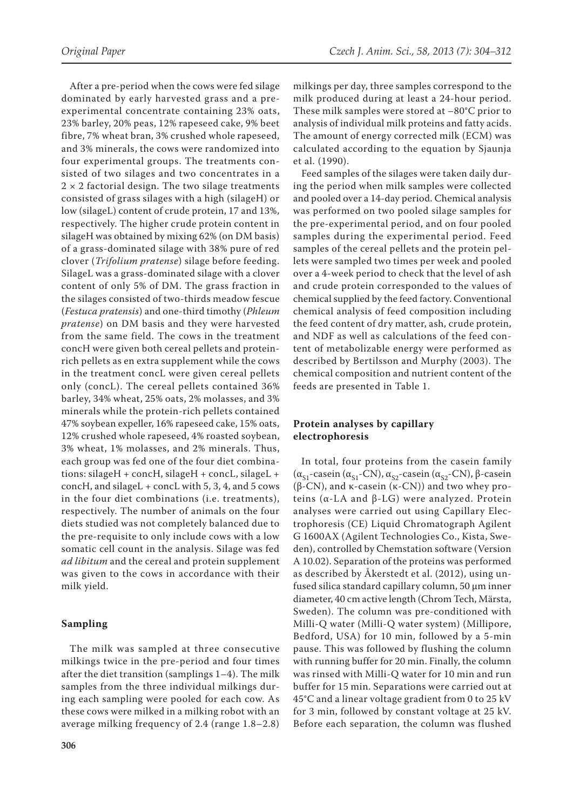After a pre-period when the cows were fed silage dominated by early harvested grass and a preexperimental concentrate containing 23% oats, 23% barley, 20% peas, 12% rapeseed cake, 9% beet fibre, 7% wheat bran, 3% crushed whole rapeseed, and 3% minerals, the cows were randomized into four experimental groups. The treatments consisted of two silages and two concentrates in a  $2 \times 2$  factorial design. The two silage treatments consisted of grass silages with a high (silageH) or low (silageL) content of crude protein, 17 and 13%, respectively. The higher crude protein content in silageH was obtained by mixing 62% (on DM basis) of a grass-dominated silage with 38% pure of red clover (*Trifolium pratense*) silage before feeding. SilageL was a grass-dominated silage with a clover content of only 5% of DM. The grass fraction in the silages consisted of two-thirds meadow fescue (*Festuca pratensis*) and one-third timothy (*Phleum pratense*) on DM basis and they were harvested from the same field. The cows in the treatment concH were given both cereal pellets and proteinrich pellets as en extra supplement while the cows in the treatment concL were given cereal pellets only (concL). The cereal pellets contained 36% barley, 34% wheat, 25% oats, 2% molasses, and 3% minerals while the protein-rich pellets contained 47% soybean expeller, 16% rapeseed cake, 15% oats, 12% crushed whole rapeseed, 4% roasted soybean, 3% wheat, 1% molasses, and 2% minerals. Thus, each group was fed one of the four diet combinations: silageH + concH, silageH + concL, silageL + concH, and silageL + concL with 5, 3, 4, and 5 cows in the four diet combinations (i.e. treatments), respectively. The number of animals on the four diets studied was not completely balanced due to the pre-requisite to only include cows with a low somatic cell count in the analysis. Silage was fed *ad libitum* and the cereal and protein supplement was given to the cows in accordance with their milk yield.

## **Sampling**

The milk was sampled at three consecutive milkings twice in the pre-period and four times after the diet transition (samplings 1–4). The milk samples from the three individual milkings during each sampling were pooled for each cow. As these cows were milked in a milking robot with an average milking frequency of 2.4 (range 1.8–2.8) milkings per day, three samples correspond to the milk produced during at least a 24-hour period. These milk samples were stored at –80°C prior to analysis of individual milk proteins and fatty acids. The amount of energy corrected milk (ECM) was calculated according to the equation by Sjaunja et al. (1990).

Feed samples of the silages were taken daily during the period when milk samples were collected and pooled over a 14-day period. Chemical analysis was performed on two pooled silage samples for the pre-experimental period, and on four pooled samples during the experimental period. Feed samples of the cereal pellets and the protein pellets were sampled two times per week and pooled over a 4-week period to check that the level of ash and crude protein corresponded to the values of chemical supplied by the feed factory. Conventional chemical analysis of feed composition including the feed content of dry matter, ash, crude protein, and NDF as well as calculations of the feed content of metabolizable energy were performed as described by Bertilsson and Murphy (2003). The chemical composition and nutrient content of the feeds are presented in Table 1.

## **Protein analyses by capillary electrophoresis**

In total, four proteins from the casein family ( $\alpha_{S1}$ -casein ( $\alpha_{S1}$ -CN),  $\alpha_{S2}$ -casein ( $\alpha_{S2}$ -CN), β-casein (β-CN), and κ-casein (κ-CN)) and two whey proteins (α-LA and β-LG) were analyzed. Protein analyses were carried out using Capillary Electrophoresis (CE) Liquid Chromatograph Agilent G 1600AX (Agilent Technologies Co., Kista, Sweden), controlled by Chemstation software (Version A 10.02). Separation of the proteins was performed as described by Åkerstedt et al. (2012), using unfused silica standard capillary column, 50 µm inner diameter, 40 cm active length (Chrom Tech, Märsta, Sweden). The column was pre-conditioned with Milli-Q water (Milli-Q water system) (Millipore, Bedford, USA) for 10 min, followed by a 5-min pause. This was followed by flushing the column with running buffer for 20 min. Finally, the column was rinsed with Milli-Q water for 10 min and run buffer for 15 min. Separations were carried out at 45°C and a linear voltage gradient from 0 to 25 kV for 3 min, followed by constant voltage at 25 kV. Before each separation, the column was flushed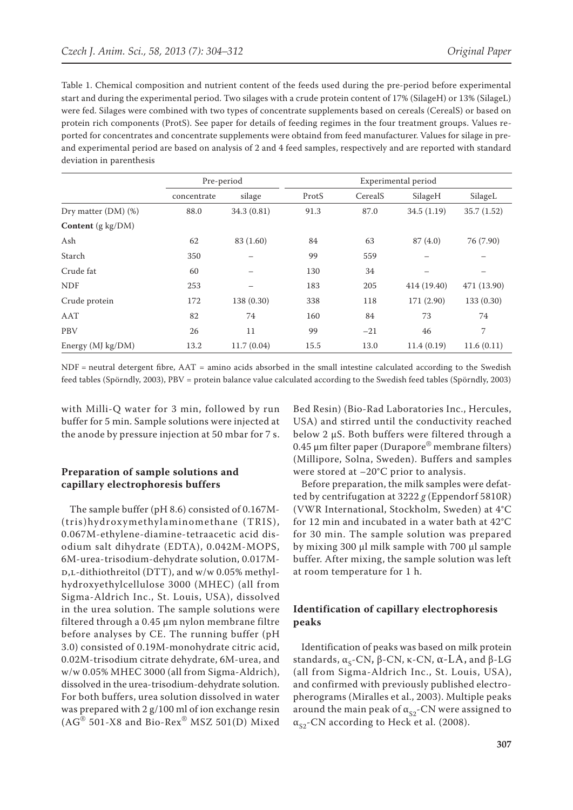Table 1. Chemical composition and nutrient content of the feeds used during the pre-period before experimental start and during the experimental period. Two silages with a crude protein content of 17% (SilageH) or 13% (SilageL) were fed. Silages were combined with two types of concentrate supplements based on cereals (CerealS) or based on protein rich components (ProtS). See paper for details of feeding regimes in the four treatment groups. Values reported for concentrates and concentrate supplements were obtaind from feed manufacturer. Values for silage in preand experimental period are based on analysis of 2 and 4 feed samples, respectively and are reported with standard deviation in parenthesis

|                          | Pre-period  |             | Experimental period |         |             |             |
|--------------------------|-------------|-------------|---------------------|---------|-------------|-------------|
|                          | concentrate | silage      | ProtS               | CerealS | SilageH     | SilageL     |
| Dry matter $(DM)$ $(\%)$ | 88.0        | 34.3 (0.81) | 91.3                | 87.0    | 34.5 (1.19) | 35.7(1.52)  |
| Content (g kg/DM)        |             |             |                     |         |             |             |
| Ash                      | 62          | 83 (1.60)   | 84                  | 63      | 87(4.0)     | 76 (7.90)   |
| Starch                   | 350         |             | 99                  | 559     |             |             |
| Crude fat                | 60          |             | 130                 | 34      |             |             |
| <b>NDF</b>               | 253         |             | 183                 | 205     | 414 (19.40) | 471 (13.90) |
| Crude protein            | 172         | 138 (0.30)  | 338                 | 118     | 171 (2.90)  | 133 (0.30)  |
| AAT                      | 82          | 74          | 160                 | 84      | 73          | 74          |
| PBV                      | 26          | 11          | 99                  | $-21$   | 46          | 7           |
| Energy (MJ kg/DM)        | 13.2        | 11.7(0.04)  | 15.5                | 13.0    | 11.4(0.19)  | 11.6(0.11)  |

NDF = neutral detergent fibre, AAT = amino acids absorbed in the small intestine calculated according to the Swedish feed tables (Spörndly, 2003), PBV = protein balance value calculated according to the Swedish feed tables (Spörndly, 2003)

with Milli-Q water for 3 min, followed by run buffer for 5 min. Sample solutions were injected at the anode by pressure injection at 50 mbar for 7 s.

## **Preparation of sample solutions and capillary electrophoresis buffers**

The sample buffer (pH 8.6) consisted of 0.167M- (tris)hydroxymethylaminomethane (TRIS), 0.067M-ethylene-diamine-tetraacetic acid disodium salt dihydrate (EDTA), 0.042M-MOPS, 6M-urea-trisodium-dehydrate solution, 0.017M-D,L-dithiothreitol (DTT), and w/w 0.05% methylhydroxyethylcellulose 3000 (MHEC) (all from Sigma-Aldrich Inc., St. Louis, USA), dissolved in the urea solution. The sample solutions were filtered through a 0.45 μm nylon membrane filtre before analyses by CE. The running buffer (pH 3.0) consisted of 0.19M-monohydrate citric acid, 0.02M-trisodium citrate dehydrate, 6M-urea, and w/w 0.05% MHEC 3000 (all from Sigma-Aldrich), dissolved in the urea-trisodium-dehydrate solution. For both buffers, urea solution dissolved in water was prepared with 2 g/100 ml of ion exchange resin  $(AG^{\circledR} 501-X8$  and Bio-Rex $^{\circledR}$  MSZ 501(D) Mixed

Bed Resin) (Bio-Rad Laboratories Inc., Hercules, USA) and stirred until the conductivity reached below 2 µS. Both buffers were filtered through a 0.45 μm filter paper (Durapore® membrane filters) (Millipore, Solna, Sweden). Buffers and samples were stored at –20°C prior to analysis.

Before preparation, the milk samples were defatted by centrifugation at 3222 *g* (Eppendorf 5810R) (VWR International, Stockholm, Sweden) at 4°C for 12 min and incubated in a water bath at 42°C for 30 min. The sample solution was prepared by mixing 300 μl milk sample with 700 μl sample buffer. After mixing, the sample solution was left at room temperature for 1 h.

## **Identification of capillary electrophoresis peaks**

Identification of peaks was based on milk protein standards,  $\alpha_{s}$ -CN, β-CN, κ-CN,  $\alpha$ -LA, and β-LG (all from Sigma-Aldrich Inc., St. Louis, USA), and confirmed with previously published electropherograms (Miralles et al., 2003). Multiple peaks around the main peak of  $\alpha_{S2}$ -CN were assigned to  $\alpha_{S2}$ -CN according to Heck et al. (2008).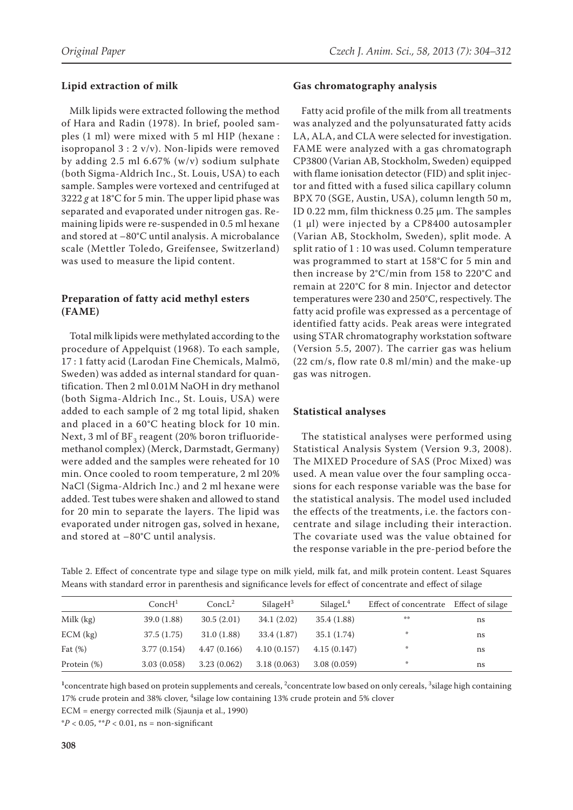# **Lipid extraction of milk**

Milk lipids were extracted following the method of Hara and Radin (1978). In brief, pooled samples (1 ml) were mixed with 5 ml HIP (hexane : isopropanol 3 : 2 v/v). Non-lipids were removed by adding 2.5 ml 6.67% (w/v) sodium sulphate (both Sigma-Aldrich Inc., St. Louis, USA) to each sample. Samples were vortexed and centrifuged at 3222 *g* at 18°C for 5 min. The upper lipid phase was separated and evaporated under nitrogen gas. Remaining lipids were re-suspended in 0.5 ml hexane and stored at –80°C until analysis. A microbalance scale (Mettler Toledo, Greifensee, Switzerland) was used to measure the lipid content.

# **Preparation of fatty acid methyl esters (FAME)**

Total milk lipids were methylated according to the procedure of Appelquist (1968). To each sample, 17 : 1 fatty acid (Larodan Fine Chemicals, Malmö, Sweden) was added as internal standard for quantification. Then 2 ml 0.01M NaOH in dry methanol (both Sigma-Aldrich Inc., St. Louis, USA) were added to each sample of 2 mg total lipid, shaken and placed in a 60°C heating block for 10 min. Next, 3 ml of  $BF_3$  reagent (20% boron trifluoridemethanol complex) (Merck, Darmstadt, Germany) were added and the samples were reheated for 10 min. Once cooled to room temperature, 2 ml 20% NaCl (Sigma-Aldrich Inc.) and 2 ml hexane were added. Test tubes were shaken and allowed to stand for 20 min to separate the layers. The lipid was evaporated under nitrogen gas, solved in hexane, and stored at –80°C until analysis.

## **Gas chromatography analysis**

Fatty acid profile of the milk from all treatments was analyzed and the polyunsaturated fatty acids LA, ALA, and CLA were selected for investigation. FAME were analyzed with a gas chromatograph CP3800 (Varian AB, Stockholm, Sweden) equipped with flame ionisation detector (FID) and split injector and fitted with a fused silica capillary column BPX 70 (SGE, Austin, USA), column length 50 m, ID 0.22 mm, film thickness 0.25 µm. The samples (1 µl) were injected by a CP8400 autosampler (Varian AB, Stockholm, Sweden), split mode. A split ratio of 1 : 10 was used. Column temperature was programmed to start at 158°C for 5 min and then increase by 2°C/min from 158 to 220°C and remain at 220°C for 8 min. Injector and detector temperatures were 230 and 250°C, respectively. The fatty acid profile was expressed as a percentage of identified fatty acids. Peak areas were integrated using STAR chromatography workstation software (Version 5.5, 2007). The carrier gas was helium (22 cm/s, flow rate 0.8 ml/min) and the make-up gas was nitrogen.

# **Statistical analyses**

The statistical analyses were performed using Statistical Analysis System (Version 9.3, 2008). The MIXED Procedure of SAS (Proc Mixed) was used. A mean value over the four sampling occasions for each response variable was the base for the statistical analysis. The model used included the effects of the treatments, i.e. the factors concentrate and silage including their interaction. The covariate used was the value obtained for the response variable in the pre-period before the

Table 2. Effect of concentrate type and silage type on milk yield, milk fat, and milk protein content. Least Squares Means with standard error in parenthesis and significance levels for effect of concentrate and effect of silage

|             | ConcH <sup>1</sup> | ConcL <sup>2</sup> | SilageH <sup>3</sup> | SilageL <sup>4</sup> | Effect of concentrate | Effect of silage |
|-------------|--------------------|--------------------|----------------------|----------------------|-----------------------|------------------|
| Milk (kg)   | 39.0(1.88)         | 30.5(2.01)         | 34.1(2.02)           | 35.4 (1.88)          | 染染                    | ns               |
| $ECM$ (kg)  | 37.5 (1.75)        | 31.0(1.88)         | 33.4(1.87)           | 35.1(1.74)           | 骆                     | ns               |
| Fat $(\%)$  | 3.77(0.154)        | 4.47(0.166)        | 4.10(0.157)          | 4.15(0.147)          | 崇                     | ns               |
| Protein (%) | 3.03(0.058)        | 3.23(0.062)        | 3.18(0.063)          | 3.08(0.059)          | 崇                     | ns               |

<sup>1</sup> concentrate high based on protein supplements and cereals, <sup>2</sup> concentrate low based on only cereals, <sup>3</sup> silage high containing 17% crude protein and 38% clover, <sup>4</sup> silage low containing 13% crude protein and 5% clover

ECM = energy corrected milk (Sjaunja et al., 1990)

 $*P < 0.05$ ,  $*P < 0.01$ , ns = non-significant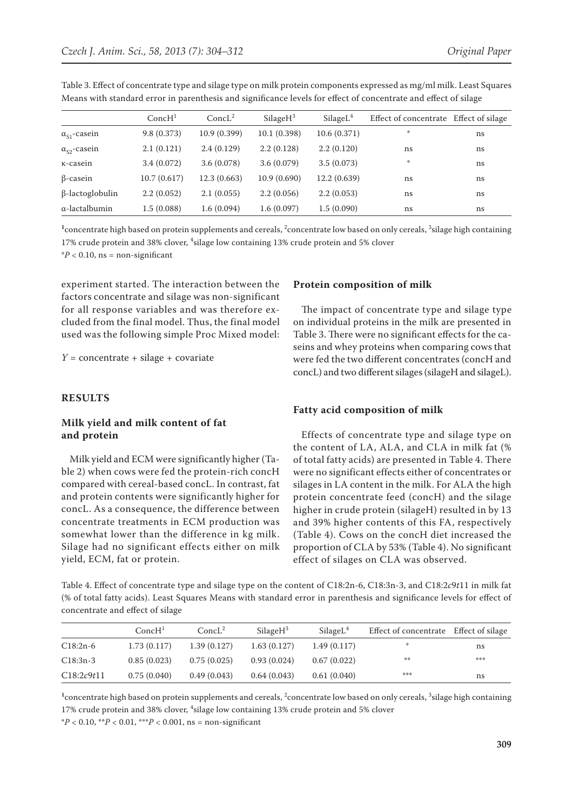|                        | ConcH <sup>1</sup> | ConcL <sup>2</sup> | SilageH <sup>3</sup> | SilageL <sup>4</sup> | Effect of concentrate Effect of silage |    |
|------------------------|--------------------|--------------------|----------------------|----------------------|----------------------------------------|----|
| $\alpha_{S1}$ -casein  | 9.8(0.373)         | 10.9(0.399)        | 10.1(0.398)          | 10.6(0.371)          | 米                                      | ns |
| $\alpha_{S2}$ -casein  | 2.1(0.121)         | 2.4(0.129)         | 2.2(0.128)           | 2.2(0.120)           | ns                                     | ns |
| K-casein               | 3.4(0.072)         | 3.6(0.078)         | 3.6(0.079)           | 3.5(0.073)           | 非                                      | ns |
| $\beta$ -casein        | 10.7(0.617)        | 12.3(0.663)        | 10.9(0.690)          | 12.2(0.639)          | ns                                     | ns |
| $\beta$ -lactoglobulin | 2.2(0.052)         | 2.1(0.055)         | 2.2(0.056)           | 2.2(0.053)           | ns                                     | ns |
| $\alpha$ -lactalbumin  | 1.5(0.088)         | 1.6(0.094)         | 1.6(0.097)           | 1.5(0.090)           | ns                                     | ns |

Table 3. Effect of concentrate type and silage type on milk protein components expressed as mg/ml milk. Least Squares Means with standard error in parenthesis and significance levels for effect of concentrate and effect of silage

<sup>1</sup> concentrate high based on protein supplements and cereals, <sup>2</sup> concentrate low based on only cereals, <sup>3</sup> silage high containing 17% crude protein and 38% clover, <sup>4</sup> silage low containing 13% crude protein and 5% clover  $*P < 0.10$ , ns = non-significant

experiment started. The interaction between the factors concentrate and silage was non-significant for all response variables and was therefore excluded from the final model. Thus, the final model used was the following simple Proc Mixed model:

 $Y =$  concentrate + silage + covariate

## **RESULTS**

## **Milk yield and milk content of fat and protein**

Milk yield and ECM were significantly higher (Table 2) when cows were fed the protein-rich concH compared with cereal-based concL. In contrast, fat and protein contents were significantly higher for concL. As a consequence, the difference between concentrate treatments in ECM production was somewhat lower than the difference in kg milk. Silage had no significant effects either on milk yield, ECM, fat or protein.

## **Protein composition of milk**

The impact of concentrate type and silage type on individual proteins in the milk are presented in Table 3. There were no significant effects for the caseins and whey proteins when comparing cows that were fed the two different concentrates (concH and concL) and two different silages (silageH and silageL).

## **Fatty acid composition of milk**

Effects of concentrate type and silage type on the content of LA, ALA, and CLA in milk fat (% of total fatty acids) are presented in Table 4. There were no significant effects either of concentrates or silages in LA content in the milk. For ALA the high protein concentrate feed (concH) and the silage higher in crude protein (silageH) resulted in by 13 and 39% higher contents of this FA, respectively (Table 4). Cows on the concH diet increased the proportion of CLA by 53% (Table 4). No significant effect of silages on CLA was observed.

Table 4. Effect of concentrate type and silage type on the content of C18:2n-6, C18:3n-3, and C18:2*c*9*t*11 in milk fat (% of total fatty acids). Least Squares Means with standard error in parenthesis and significance levels for effect of concentrate and effect of silage

|            | ConcH <sup>1</sup> | ConcL <sup>2</sup> | SilageH <sup>3</sup> | SilageL <sup>4</sup> | Effect of concentrate Effect of silage |     |
|------------|--------------------|--------------------|----------------------|----------------------|----------------------------------------|-----|
| $C18:2n-6$ | 1.73(0.117)        | 1.39(0.127)        | 1.63(0.127)          | 1.49(0.117)          | ☆                                      | ns  |
| $C18:3n-3$ | 0.85(0.023)        | 0.75(0.025)        | 0.93(0.024)          | 0.67(0.022)          | 染染                                     | *** |
| C18:2c9t11 | 0.75(0.040)        | 0.49(0.043)        | 0.64(0.043)          | 0.61(0.040)          | ***                                    | ns  |

<sup>1</sup> concentrate high based on protein supplements and cereals, <sup>2</sup> concentrate low based on only cereals, <sup>3</sup> silage high containing 17% crude protein and 38% clover, <sup>4</sup>silage low containing 13% crude protein and 5% clover

\**P* < 0.10, \*\**P* < 0.01, \*\*\**P* < 0.001, ns = non-significant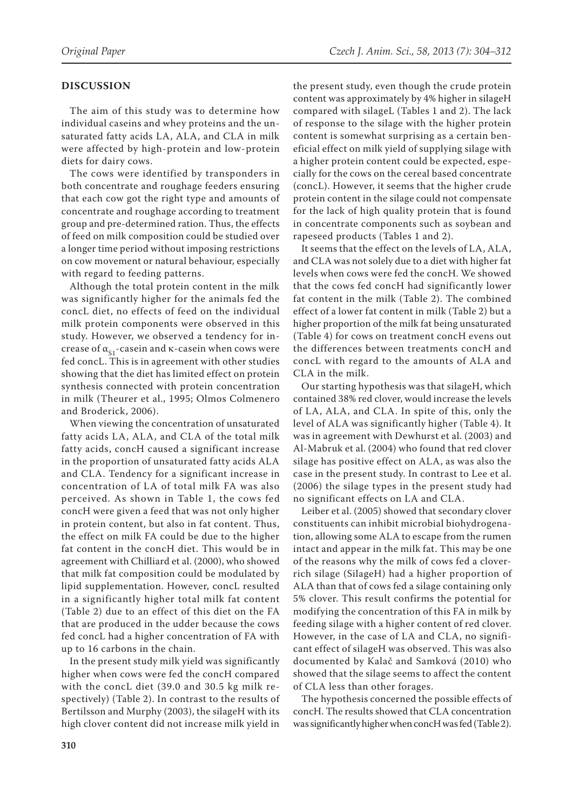# **DISCUSSION**

The aim of this study was to determine how individual caseins and whey proteins and the unsaturated fatty acids LA, ALA, and CLA in milk were affected by high-protein and low-protein diets for dairy cows.

The cows were identified by transponders in both concentrate and roughage feeders ensuring that each cow got the right type and amounts of concentrate and roughage according to treatment group and pre-determined ration. Thus, the effects of feed on milk composition could be studied over a longer time period without imposing restrictions on cow movement or natural behaviour, especially with regard to feeding patterns.

Although the total protein content in the milk was significantly higher for the animals fed the concL diet, no effects of feed on the individual milk protein components were observed in this study. However, we observed a tendency for increase of  $\alpha_{S1}$ -casein and  $\kappa$ -casein when cows were fed concL. This is in agreement with other studies showing that the diet has limited effect on protein synthesis connected with protein concentration in milk (Theurer et al., 1995; Olmos Colmenero and Broderick, 2006).

When viewing the concentration of unsaturated fatty acids LA, ALA, and CLA of the total milk fatty acids, concH caused a significant increase in the proportion of unsaturated fatty acids ALA and CLA. Tendency for a significant increase in concentration of LA of total milk FA was also perceived. As shown in Table 1, the cows fed concH were given a feed that was not only higher in protein content, but also in fat content. Thus, the effect on milk FA could be due to the higher fat content in the concH diet. This would be in agreement with Chilliard et al. (2000), who showed that milk fat composition could be modulated by lipid supplementation. However, concL resulted in a significantly higher total milk fat content (Table 2) due to an effect of this diet on the FA that are produced in the udder because the cows fed concL had a higher concentration of FA with up to 16 carbons in the chain.

In the present study milk yield was significantly higher when cows were fed the concH compared with the concL diet (39.0 and 30.5 kg milk respectively) (Table 2). In contrast to the results of Bertilsson and Murphy (2003), the silageH with its high clover content did not increase milk yield in the present study, even though the crude protein content was approximately by 4% higher in silageH compared with silageL (Tables 1 and 2). The lack of response to the silage with the higher protein content is somewhat surprising as a certain beneficial effect on milk yield of supplying silage with a higher protein content could be expected, especially for the cows on the cereal based concentrate (concL). However, it seems that the higher crude protein content in the silage could not compensate for the lack of high quality protein that is found in concentrate components such as soybean and rapeseed products (Tables 1 and 2).

It seems that the effect on the levels of LA, ALA, and CLA was not solely due to a diet with higher fat levels when cows were fed the concH. We showed that the cows fed concH had significantly lower fat content in the milk (Table 2). The combined effect of a lower fat content in milk (Table 2) but a higher proportion of the milk fat being unsaturated (Table 4) for cows on treatment concH evens out the differences between treatments concH and concL with regard to the amounts of ALA and CLA in the milk.

Our starting hypothesis was that silageH, which contained 38% red clover, would increase the levels of LA, ALA, and CLA. In spite of this, only the level of ALA was significantly higher (Table 4). It was in agreement with Dewhurst et al. (2003) and Al-Mabruk et al. (2004) who found that red clover silage has positive effect on ALA, as was also the case in the present study. In contrast to Lee et al. (2006) the silage types in the present study had no significant effects on LA and CLA.

Leiber et al. (2005) showed that secondary clover constituents can inhibit microbial biohydrogenation, allowing some ALA to escape from the rumen intact and appear in the milk fat. This may be one of the reasons why the milk of cows fed a cloverrich silage (SilageH) had a higher proportion of ALA than that of cows fed a silage containing only 5% clover. This result confirms the potential for modifying the concentration of this FA in milk by feeding silage with a higher content of red clover. However, in the case of LA and CLA, no significant effect of silageH was observed. This was also documented by Kalač and Samková (2010) who showed that the silage seems to affect the content of CLA less than other forages.

The hypothesis concerned the possible effects of concH. The results showed that CLA concentration was significantly higher when concH was fed (Table 2).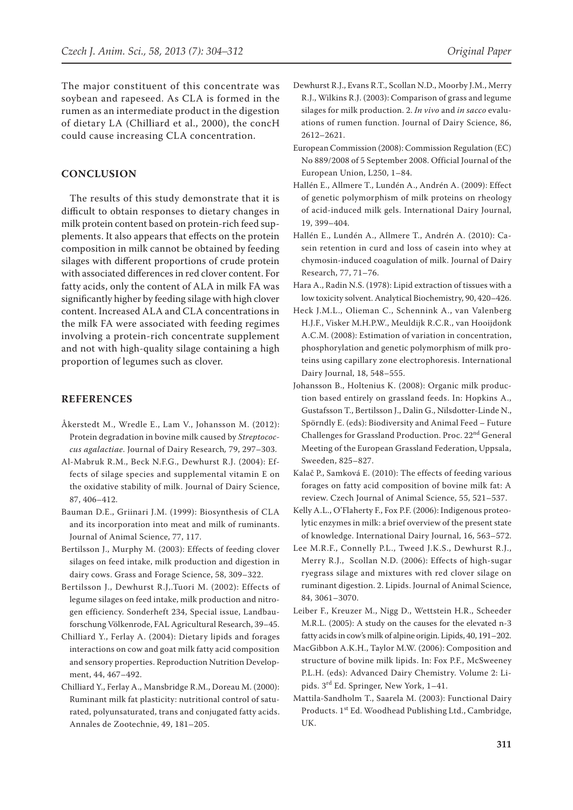The major constituent of this concentrate was soybean and rapeseed. As CLA is formed in the rumen as an intermediate product in the digestion of dietary LA (Chilliard et al., 2000), the concH could cause increasing CLA concentration.

## **CONCLUSION**

The results of this study demonstrate that it is difficult to obtain responses to dietary changes in milk protein content based on protein-rich feed supplements. It also appears that effects on the protein composition in milk cannot be obtained by feeding silages with different proportions of crude protein with associated differences in red clover content. For fatty acids, only the content of ALA in milk FA was significantly higher by feeding silage with high clover content. Increased ALA and CLA concentrations in the milk FA were associated with feeding regimes involving a protein-rich concentrate supplement and not with high-quality silage containing a high proportion of legumes such as clover.

## **REFERENCES**

- Åkerstedt M., Wredle E., Lam V., Johansson M. (2012): Protein degradation in bovine milk caused by *Streptococcus agalactiae*. Journal of Dairy Research*,* 79, 297–303.
- Al-Mabruk R.M., Beck N.F.G., Dewhurst R.J. (2004): Effects of silage species and supplemental vitamin E on the oxidative stability of milk. Journal of Dairy Science, 87, 406–412.
- Bauman D.E., Griinari J.M. (1999): Biosynthesis of CLA and its incorporation into meat and milk of ruminants. Journal of Animal Science, 77, 117.
- Bertilsson J., Murphy M. (2003): Effects of feeding clover silages on feed intake, milk production and digestion in dairy cows. Grass and Forage Science, 58, 309–322.
- Bertilsson J., Dewhurst R.J,.Tuori M. (2002): Effects of legume silages on feed intake, milk production and nitrogen efficiency. Sonderheft 234, Special issue, Landbauforschung Völkenrode, FAL Agricultural Research, 39–45.
- Chilliard Y., Ferlay A. (2004): Dietary lipids and forages interactions on cow and goat milk fatty acid composition and sensory properties. Reproduction Nutrition Development, 44, 467–492.
- Chilliard Y., Ferlay A., Mansbridge R.M., Doreau M. (2000): Ruminant milk fat plasticity: nutritional control of saturated, polyunsaturated, trans and conjugated fatty acids. Annales de Zootechnie, 49, 181–205.
- Dewhurst R.J., Evans R.T., Scollan N.D., Moorby J.M., Merry R.J., Wilkins R.J. (2003): Comparison of grass and legume silages for milk production. 2. *In vivo* and *in sacco* evaluations of rumen function. Journal of Dairy Science, 86, 2612–2621.
- European Commission (2008): Commission Regulation (EC) No 889/2008 of 5 September 2008. Official Journal of the European Union, L250, 1–84.
- Hallén E., Allmere T., Lundén A., Andrén A. (2009): Effect of genetic polymorphism of milk proteins on rheology of acid-induced milk gels. International Dairy Journal, 19, 399–404.
- Hallén E., Lundén A., Allmere T., Andrén A. (2010): Casein retention in curd and loss of casein into whey at chymosin-induced coagulation of milk. Journal of Dairy Research, 77, 71–76.
- Hara A., Radin N.S. (1978): Lipid extraction of tissues with a low toxicity solvent. Analytical Biochemistry, 90, 420–426.
- Heck J.M.L., Olieman C., Schennink A., van Valenberg H.J.F., Visker M.H.P.W., Meuldijk R.C.R., van Hooijdonk A.C.M. (2008): Estimation of variation in concentration, phosphorylation and genetic polymorphism of milk proteins using capillary zone electrophoresis. International Dairy Journal, 18, 548–555.
- Johansson B., Holtenius K. (2008): Organic milk production based entirely on grassland feeds. In: Hopkins A., Gustafsson T., Bertilsson J., Dalin G., Nilsdotter-Linde N., Spörndly E. (eds): Biodiversity and Animal Feed – Future Challenges for Grassland Production. Proc. 22<sup>nd</sup> General Meeting of the European Grassland Federation, Uppsala, Sweeden, 825–827.
- Kalač P., Samková E. (2010): The effects of feeding various forages on fatty acid composition of bovine milk fat: A review. Czech Journal of Animal Science, 55, 521–537.
- Kelly A.L., O'Flaherty F., Fox P.F. (2006): Indigenous proteolytic enzymes in milk: a brief overview of the present state of knowledge. International Dairy Journal, 16, 563–572.
- Lee M.R.F., Connelly P.L., Tweed J.K.S., Dewhurst R.J., Merry R.J., Scollan N.D. (2006): Effects of high-sugar ryegrass silage and mixtures with red clover silage on ruminant digestion. 2. Lipids. Journal of Animal Science, 84, 3061–3070.
- Leiber F., Kreuzer M., Nigg D., Wettstein H.R., Scheeder M.R.L. (2005): A study on the causes for the elevated n-3 fatty acids in cow's milk of alpine origin. Lipids, 40, 191–202.
- MacGibbon A.K.H., Taylor M.W. (2006): Composition and structure of bovine milk lipids. In: Fox P.F., McSweeney P.L.H. (eds): Advanced Dairy Chemistry. Volume 2: Lipids. 3rd Ed. Springer, New York, 1–41.
- Mattila-Sandholm T., Saarela M. (2003): Functional Dairy Products. 1<sup>st</sup> Ed. Woodhead Publishing Ltd., Cambridge, UK.